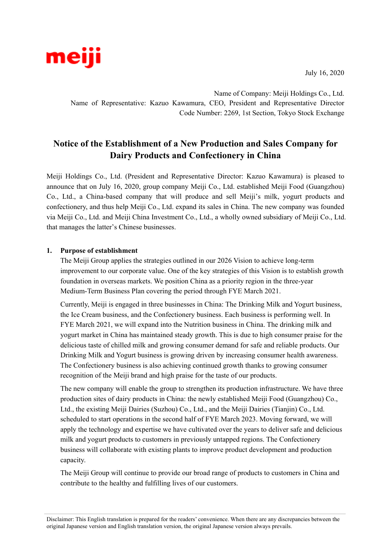

July 16, 2020

Name of Company: Meiji Holdings Co., Ltd. Name of Representative: Kazuo Kawamura, CEO, President and Representative Director Code Number: 2269, 1st Section, Tokyo Stock Exchange

# **Notice of the Establishment of a New Production and Sales Company for Dairy Products and Confectionery in China**

Meiji Holdings Co., Ltd. (President and Representative Director: Kazuo Kawamura) is pleased to announce that on July 16, 2020, group company Meiji Co., Ltd. established Meiji Food (Guangzhou) Co., Ltd., a China-based company that will produce and sell Meiji's milk, yogurt products and confectionery, and thus help Meiji Co., Ltd. expand its sales in China. The new company was founded via Meiji Co., Ltd. and Meiji China Investment Co., Ltd., a wholly owned subsidiary of Meiji Co., Ltd. that manages the latter's Chinese businesses.

#### **1. Purpose of establishment**

The Meiji Group applies the strategies outlined in our 2026 Vision to achieve long-term improvement to our corporate value. One of the key strategies of this Vision is to establish growth foundation in overseas markets. We position China as a priority region in the three-year Medium-Term Business Plan covering the period through FYE March 2021.

Currently, Meiji is engaged in three businesses in China: The Drinking Milk and Yogurt business, the Ice Cream business, and the Confectionery business. Each business is performing well. In FYE March 2021, we will expand into the Nutrition business in China. The drinking milk and yogurt market in China has maintained steady growth. This is due to high consumer praise for the delicious taste of chilled milk and growing consumer demand for safe and reliable products. Our Drinking Milk and Yogurt business is growing driven by increasing consumer health awareness. The Confectionery business is also achieving continued growth thanks to growing consumer recognition of the Meiji brand and high praise for the taste of our products.

The new company will enable the group to strengthen its production infrastructure. We have three production sites of dairy products in China: the newly established Meiji Food (Guangzhou) Co., Ltd., the existing Meiji Dairies (Suzhou) Co., Ltd., and the Meiji Dairies (Tianjin) Co., Ltd. scheduled to start operations in the second half of FYE March 2023. Moving forward, we will apply the technology and expertise we have cultivated over the years to deliver safe and delicious milk and yogurt products to customers in previously untapped regions. The Confectionery business will collaborate with existing plants to improve product development and production capacity.

The Meiji Group will continue to provide our broad range of products to customers in China and contribute to the healthy and fulfilling lives of our customers.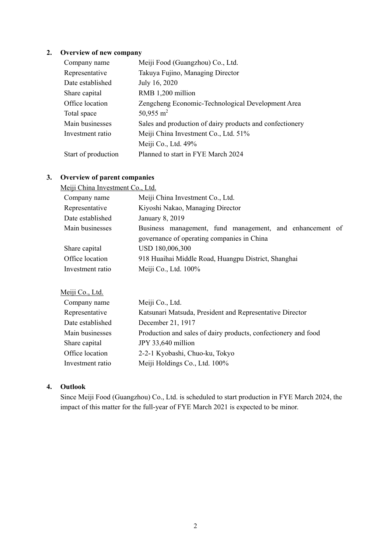### **2. Overview of new company**

| Company name        | Meiji Food (Guangzhou) Co., Ltd.                         |
|---------------------|----------------------------------------------------------|
| Representative      | Takuya Fujino, Managing Director                         |
| Date established    | July 16, 2020                                            |
| Share capital       | RMB 1,200 million                                        |
| Office location     | Zengcheng Economic-Technological Development Area        |
| Total space         | 50,955 m <sup>2</sup>                                    |
| Main businesses     | Sales and production of dairy products and confectionery |
| Investment ratio    | Meiji China Investment Co., Ltd. 51%                     |
|                     | Meiji Co., Ltd. 49%                                      |
| Start of production | Planned to start in FYE March 2024                       |

## **3. Overview of parent companies**

#### Meiji China Investment Co., Ltd.

| Meiji China Investment Co., Ltd.                                                                       |
|--------------------------------------------------------------------------------------------------------|
| Kiyoshi Nakao, Managing Director                                                                       |
| January 8, 2019                                                                                        |
| Business management, fund management, and enhancement of<br>governance of operating companies in China |
| USD 180,006,300                                                                                        |
| 918 Huaihai Middle Road, Huangpu District, Shanghai                                                    |
| Meiji Co., Ltd. 100%                                                                                   |
|                                                                                                        |

### Meiji Co., Ltd.

| Company name     | Meiji Co., Ltd.                                                |
|------------------|----------------------------------------------------------------|
| Representative   | Katsunari Matsuda, President and Representative Director       |
| Date established | December 21, 1917                                              |
| Main businesses  | Production and sales of dairy products, confectionery and food |
| Share capital    | JPY 33,640 million                                             |
| Office location  | 2-2-1 Kyobashi, Chuo-ku, Tokyo                                 |
| Investment ratio | Meiji Holdings Co., Ltd. 100%                                  |

## **4. Outlook**

Since Meiji Food (Guangzhou) Co., Ltd. is scheduled to start production in FYE March 2024, the impact of this matter for the full-year of FYE March 2021 is expected to be minor.